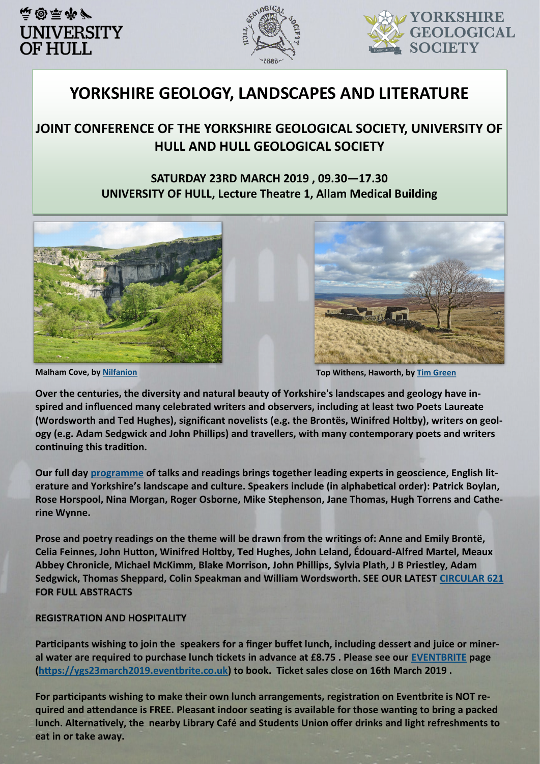



# **YORKSHIRE GEOLOGY, LANDSCAPES AND LITERATURE**

## **JOINT CONFERENCE OF THE YORKSHIRE GEOLOGICAL SOCIETY, UNIVERSITY OF HULL AND HULL GEOLOGICAL SOCIETY**

### **SATURDAY 23RD MARCH 2019 , 09.30—17.30 UNIVERSITY OF HULL, Lecture Theatre 1, Allam Medical Building**





**Malham Cove, by [Nilfanion](https://commons.wikimedia.org/wiki/User:Nilfanion) Top Withens, Haworth, by [Tim Green](https://www.flickr.com/people/93416311@N00)**

**Over the centuries, the diversity and natural beauty of Yorkshire's landscapes and geology have inspired and influenced many celebrated writers and observers, including at least two Poets Laureate (Wordsworth and Ted Hughes), significant novelists (e.g. the Brontës, Winifred Holtby), writers on geology (e.g. Adam Sedgwick and John Phillips) and travellers, with many contemporary poets and writers continuing this tradition.**

**Our full day [programme](#page-1-0) of talks and readings brings together leading experts in geoscience, English literature and Yorkshire's landscape and culture. Speakers include (in alphabetical order): Patrick Boylan, Rose Horspool, Nina Morgan, Roger Osborne, Mike Stephenson, Jane Thomas, Hugh Torrens and Catherine Wynne.**

**Prose and poetry readings on the theme will be drawn from the writings of: Anne and Emily Brontë, Celia Feinnes, John Hutton, Winifred Holtby, Ted Hughes, John Leland, Édouard-Alfred Martel, Meaux Abbey Chronicle, Michael McKimm, Blake Morrison, John Phillips, Sylvia Plath, J B Priestley, Adam Sedgwick, Thomas Sheppard, Colin Speakman and William Wordsworth. SEE OUR LATEST [CIRCULAR 621](http://www.yorksgeolsoc.org.uk/archive/2019%20Circulars/621.pdf) FOR FULL ABSTRACTS**

#### **REGISTRATION AND HOSPITALITY**

**Participants wishing to join the speakers for a finger buffet lunch, including dessert and juice or mineral water are required to purchase lunch tickets in advance at £8.75 . Please see our [EVENTBRITE](https://ygs23march2019.eventbrite.co.uk) page ([https://ygs23march2019.eventbrite.co.uk\)](https://ygs23march2019.eventbrite.co.uk) to book. Ticket sales close on 16th March 2019 .**

**For participants wishing to make their own lunch arrangements, registration on Eventbrite is NOT required and attendance is FREE. Pleasant indoor seating is available for those wanting to bring a packed lunch. Alternatively, the nearby Library Café and Students Union offer drinks and light refreshments to eat in or take away.**